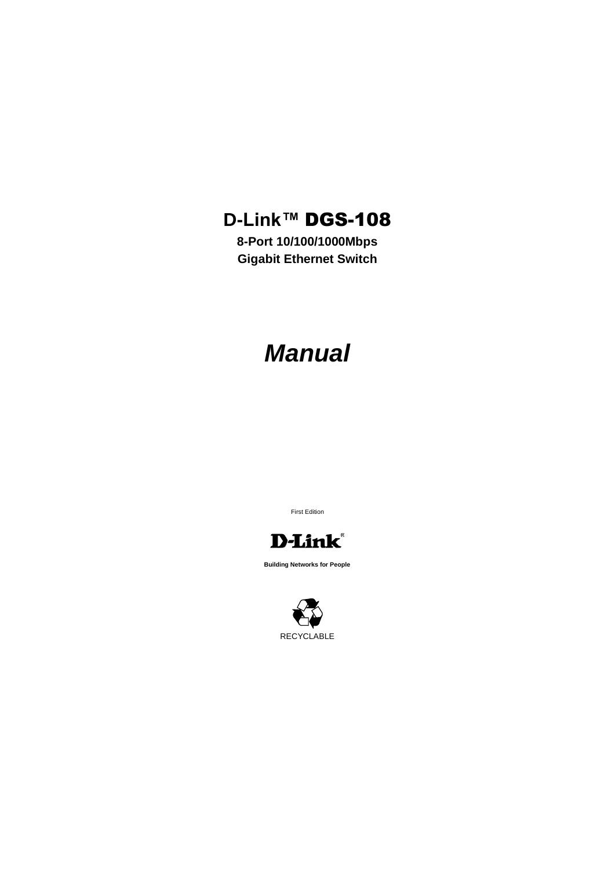# **D-Link™** DGS-108

**8-Port 10/100/1000Mbps Gigabit Ethernet Switch**

# *Manual*

First Edition



**Building Networks for People**

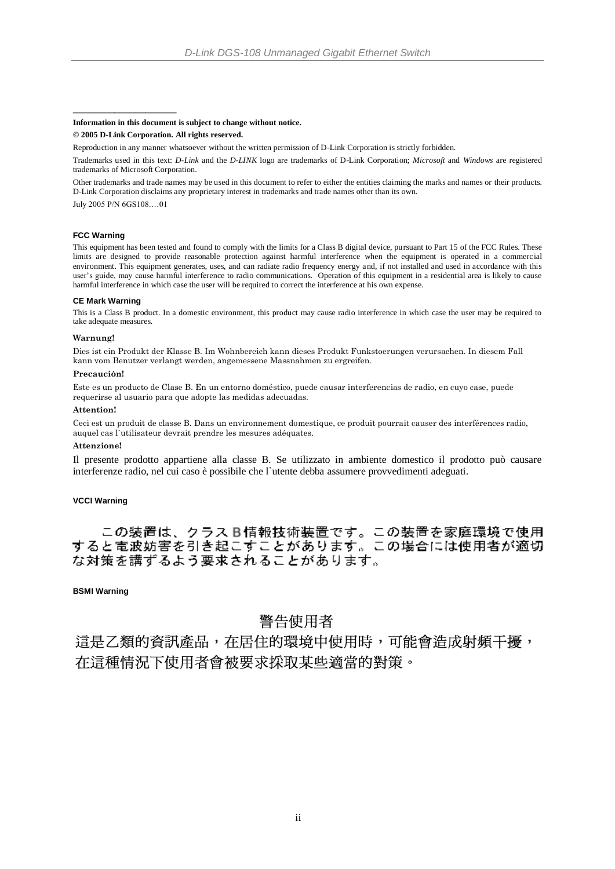#### **Information in this document is subject to change without notice.**

#### **© 2005 D-Link Corporation. All rights reserved.**

Reproduction in any manner whatsoever without the written permission of D-Link Corporation is strictly forbidden.

Trademarks used in this text: *D-Link* and the *D-LINK* logo are trademarks of D-Link Corporation; *Microsoft* and *Windows* are registered trademarks of Microsoft Corporation.

Other trademarks and trade names may be used in this document to refer to either the entities claiming the marks and names or their products. D-Link Corporation disclaims any proprietary interest in trademarks and trade names other than its own.

July 2005 P/N 6GS108.…01

\_\_\_\_\_\_\_\_\_\_\_\_\_\_\_\_\_\_\_\_

#### **FCC Warning**

This equipment has been tested and found to comply with the limits for a Class B digital device, pursuant to Part 15 of the FCC Rules. These limits are designed to provide reasonable protection against harmful interference when the equipment is operated in a commercial environment. This equipment generates, uses, and can radiate radio frequency energy and, if not installed and used in accordance with this user's guide, may cause harmful interference to radio communications. Operation of this equipment in a residential area is likely to cause harmful interference in which case the user will be required to correct the interference at his own expense.

#### **CE Mark Warning**

This is a Class B product. In a domestic environment, this product may cause radio interference in which case the user may be required to take adequate measures.

#### **Warnung!**

Dies ist ein Produkt der Klasse B. Im Wohnbereich kann dieses Produkt Funkstoerungen verursachen. In diesem Fall kann vom Benutzer verlangt werden, angemessene Massnahmen zu ergreifen.

#### **Precaución!**

Este es un producto de Clase B. En un entorno doméstico, puede causar interferencias de radio, en cuyo case, puede requerirse al usuario para que adopte las medidas adecuadas.

#### **Attention!**

Ceci est un produit de classe B. Dans un environnement domestique, ce produit pourrait causer des interférences radio, auquel cas l`utilisateur devrait prendre les mesures adéquates.

### **Attenzione!**

Il presente prodotto appartiene alla classe B. Se utilizzato in ambiente domestico il prodotto può causare interferenze radio, nel cui caso è possibile che l`utente debba assumere provvedimenti adeguati.

### **VCCI Warning**

この装置は、クラスB情報技術装置です。この装置を家庭環境で使用<br>すると電波妨害を引き起こすことがあります。この場合には使用者が適切 な対策を講ずるよう要求されることがあります。

**BSMI Warning**

### 警告使用者

這是乙類的資訊產品,在居住的環境中使用時,可能會造成射頻干擾, 在這種情況下使用者會被要求採取某些適當的對策。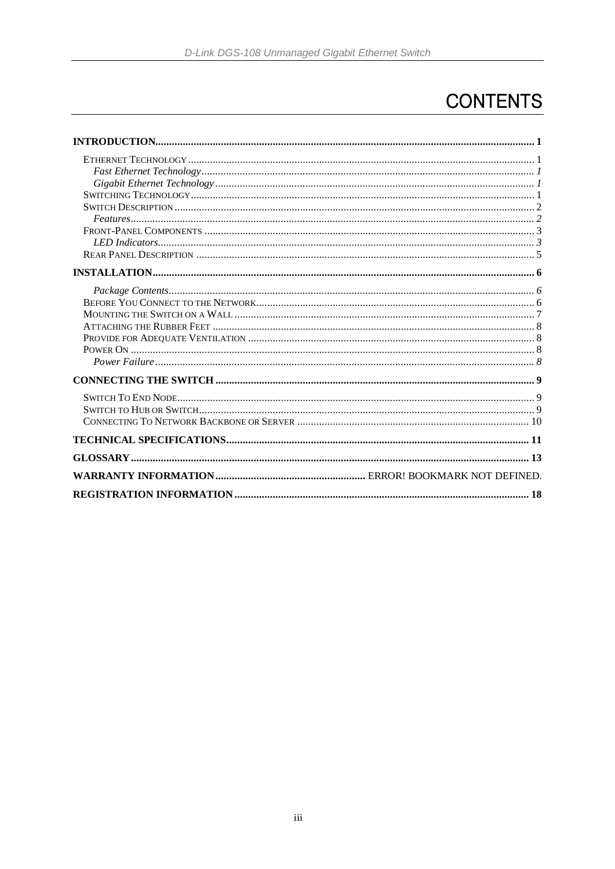# **CONTENTS**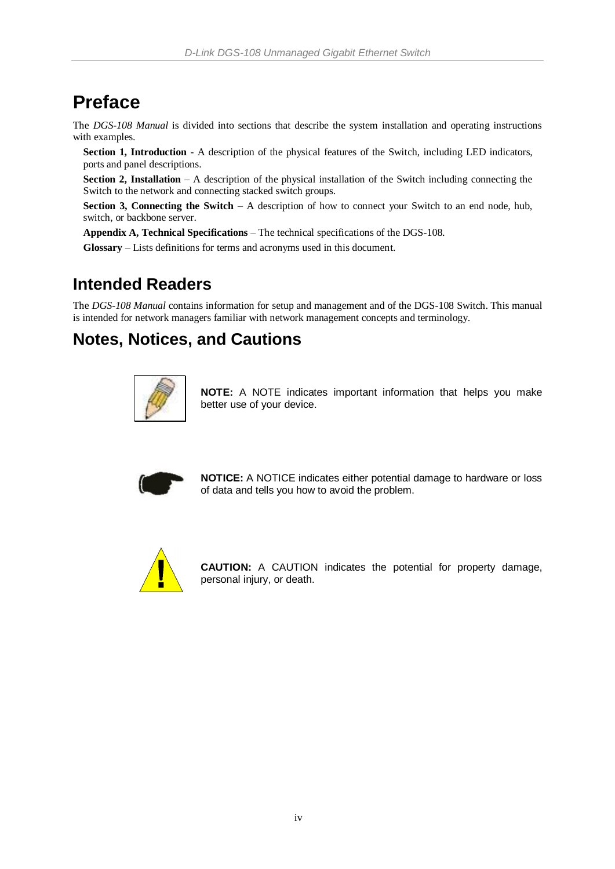# **Preface**

The *DGS-108 Manual* is divided into sections that describe the system installation and operating instructions with examples.

**Section 1, Introduction** - A description of the physical features of the Switch, including LED indicators, ports and panel descriptions.

**Section 2, Installation** – A description of the physical installation of the Switch including connecting the Switch to the network and connecting stacked switch groups.

**Section 3, Connecting the Switch** – A description of how to connect your Switch to an end node, hub, switch, or backbone server.

**Appendix A, Technical Specifications** – The technical specifications of the DGS-108.

**Glossary** – Lists definitions for terms and acronyms used in this document.

### **Intended Readers**

The *DGS-108 Manual* contains information for setup and management and of the DGS-108 Switch. This manual is intended for network managers familiar with network management concepts and terminology.

### **Notes, Notices, and Cautions**



**NOTE:** A NOTE indicates important information that helps you make better use of your device.



**NOTICE:** A NOTICE indicates either potential damage to hardware or loss of data and tells you how to avoid the problem.



**CAUTION:** A CAUTION indicates the potential for property damage, personal injury, or death.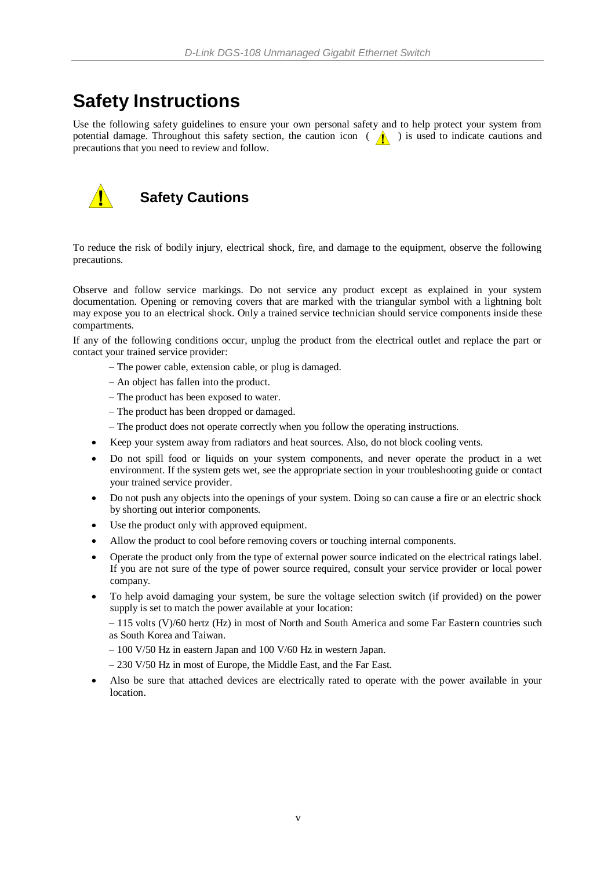## **Safety Instructions**

Use the following safety guidelines to ensure your own personal safety and to help protect your system from potential damage. Throughout this safety section, the caution icon  $( \bigwedge )$  is used to indicate cautions and precautions that you need to review and follow.



### **Safety Cautions**

To reduce the risk of bodily injury, electrical shock, fire, and damage to the equipment, observe the following precautions.

Observe and follow service markings. Do not service any product except as explained in your system documentation. Opening or removing covers that are marked with the triangular symbol with a lightning bolt may expose you to an electrical shock. Only a trained service technician should service components inside these compartments.

If any of the following conditions occur, unplug the product from the electrical outlet and replace the part or contact your trained service provider:

- The power cable, extension cable, or plug is damaged.
- An object has fallen into the product.
- The product has been exposed to water.
- The product has been dropped or damaged.
- The product does not operate correctly when you follow the operating instructions.
- Keep your system away from radiators and heat sources. Also, do not block cooling vents.
- Do not spill food or liquids on your system components, and never operate the product in a wet environment. If the system gets wet, see the appropriate section in your troubleshooting guide or contact your trained service provider.
- Do not push any objects into the openings of your system. Doing so can cause a fire or an electric shock by shorting out interior components.
- Use the product only with approved equipment.
- Allow the product to cool before removing covers or touching internal components.
- Operate the product only from the type of external power source indicated on the electrical ratings label. If you are not sure of the type of power source required, consult your service provider or local power company.
- To help avoid damaging your system, be sure the voltage selection switch (if provided) on the power supply is set to match the power available at your location:

– 115 volts (V)/60 hertz (Hz) in most of North and South America and some Far Eastern countries such as South Korea and Taiwan.

- 100 V/50 Hz in eastern Japan and 100 V/60 Hz in western Japan.
- 230 V/50 Hz in most of Europe, the Middle East, and the Far East.
- Also be sure that attached devices are electrically rated to operate with the power available in your location.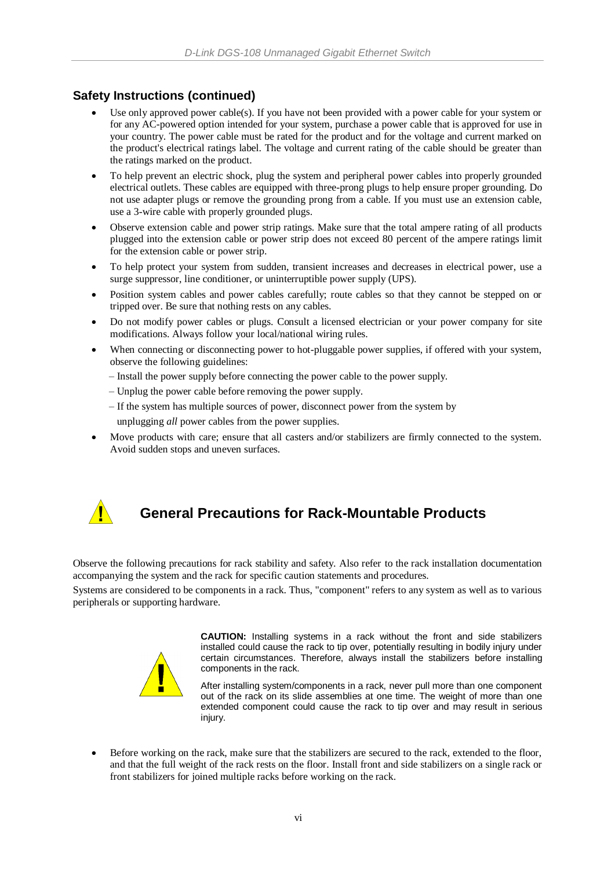### **Safety Instructions (continued)**

- Use only approved power cable(s). If you have not been provided with a power cable for your system or for any AC-powered option intended for your system, purchase a power cable that is approved for use in your country. The power cable must be rated for the product and for the voltage and current marked on the product's electrical ratings label. The voltage and current rating of the cable should be greater than the ratings marked on the product.
- To help prevent an electric shock, plug the system and peripheral power cables into properly grounded electrical outlets. These cables are equipped with three-prong plugs to help ensure proper grounding. Do not use adapter plugs or remove the grounding prong from a cable. If you must use an extension cable, use a 3-wire cable with properly grounded plugs.
- Observe extension cable and power strip ratings. Make sure that the total ampere rating of all products plugged into the extension cable or power strip does not exceed 80 percent of the ampere ratings limit for the extension cable or power strip.
- To help protect your system from sudden, transient increases and decreases in electrical power, use a surge suppressor, line conditioner, or uninterruptible power supply (UPS).
- Position system cables and power cables carefully; route cables so that they cannot be stepped on or tripped over. Be sure that nothing rests on any cables.
- Do not modify power cables or plugs. Consult a licensed electrician or your power company for site modifications. Always follow your local/national wiring rules.
- When connecting or disconnecting power to hot-pluggable power supplies, if offered with your system, observe the following guidelines:
	- Install the power supply before connecting the power cable to the power supply.
	- Unplug the power cable before removing the power supply.
	- If the system has multiple sources of power, disconnect power from the system by unplugging *all* power cables from the power supplies.
- Move products with care; ensure that all casters and/or stabilizers are firmly connected to the system. Avoid sudden stops and uneven surfaces.



### **General Precautions for Rack-Mountable Products**

Observe the following precautions for rack stability and safety. Also refer to the rack installation documentation accompanying the system and the rack for specific caution statements and procedures.

Systems are considered to be components in a rack. Thus, "component" refers to any system as well as to various peripherals or supporting hardware.



**CAUTION:** Installing systems in a rack without the front and side stabilizers installed could cause the rack to tip over, potentially resulting in bodily injury under certain circumstances. Therefore, always install the stabilizers before installing components in the rack.

After installing system/components in a rack, never pull more than one component out of the rack on its slide assemblies at one time. The weight of more than one extended component could cause the rack to tip over and may result in serious injury.

 Before working on the rack, make sure that the stabilizers are secured to the rack, extended to the floor, and that the full weight of the rack rests on the floor. Install front and side stabilizers on a single rack or front stabilizers for joined multiple racks before working on the rack.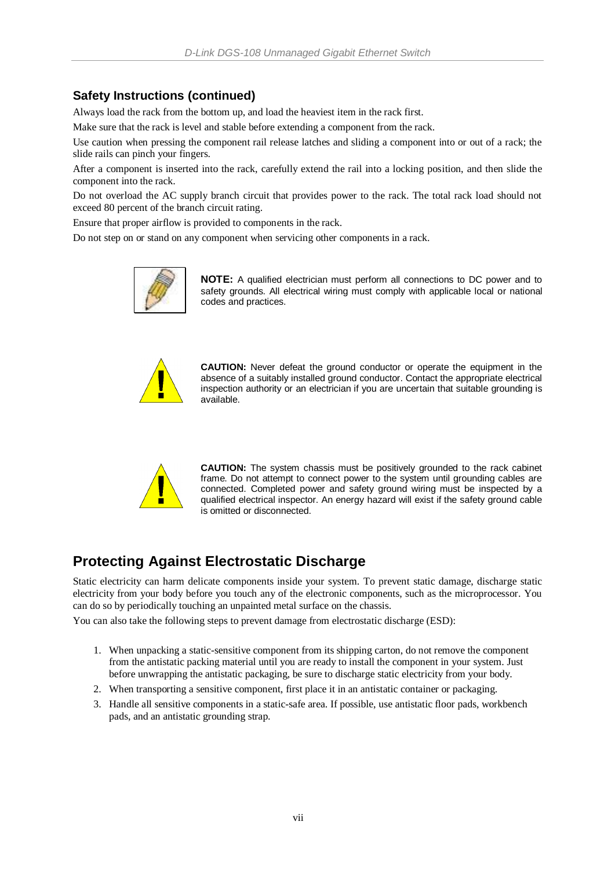### **Safety Instructions (continued)**

Always load the rack from the bottom up, and load the heaviest item in the rack first.

Make sure that the rack is level and stable before extending a component from the rack.

Use caution when pressing the component rail release latches and sliding a component into or out of a rack; the slide rails can pinch your fingers.

After a component is inserted into the rack, carefully extend the rail into a locking position, and then slide the component into the rack.

Do not overload the AC supply branch circuit that provides power to the rack. The total rack load should not exceed 80 percent of the branch circuit rating.

Ensure that proper airflow is provided to components in the rack.

Do not step on or stand on any component when servicing other components in a rack.



**NOTE:** A qualified electrician must perform all connections to DC power and to safety grounds. All electrical wiring must comply with applicable local or national codes and practices.



**CAUTION:** Never defeat the ground conductor or operate the equipment in the absence of a suitably installed ground conductor. Contact the appropriate electrical inspection authority or an electrician if you are uncertain that suitable grounding is available.



**CAUTION:** The system chassis must be positively grounded to the rack cabinet frame. Do not attempt to connect power to the system until grounding cables are connected. Completed power and safety ground wiring must be inspected by a qualified electrical inspector. An energy hazard will exist if the safety ground cable is omitted or disconnected.

### **Protecting Against Electrostatic Discharge**

Static electricity can harm delicate components inside your system. To prevent static damage, discharge static electricity from your body before you touch any of the electronic components, such as the microprocessor. You can do so by periodically touching an unpainted metal surface on the chassis.

You can also take the following steps to prevent damage from electrostatic discharge (ESD):

- 1. When unpacking a static-sensitive component from its shipping carton, do not remove the component from the antistatic packing material until you are ready to install the component in your system. Just before unwrapping the antistatic packaging, be sure to discharge static electricity from your body.
- 2. When transporting a sensitive component, first place it in an antistatic container or packaging.
- 3. Handle all sensitive components in a static-safe area. If possible, use antistatic floor pads, workbench pads, and an antistatic grounding strap.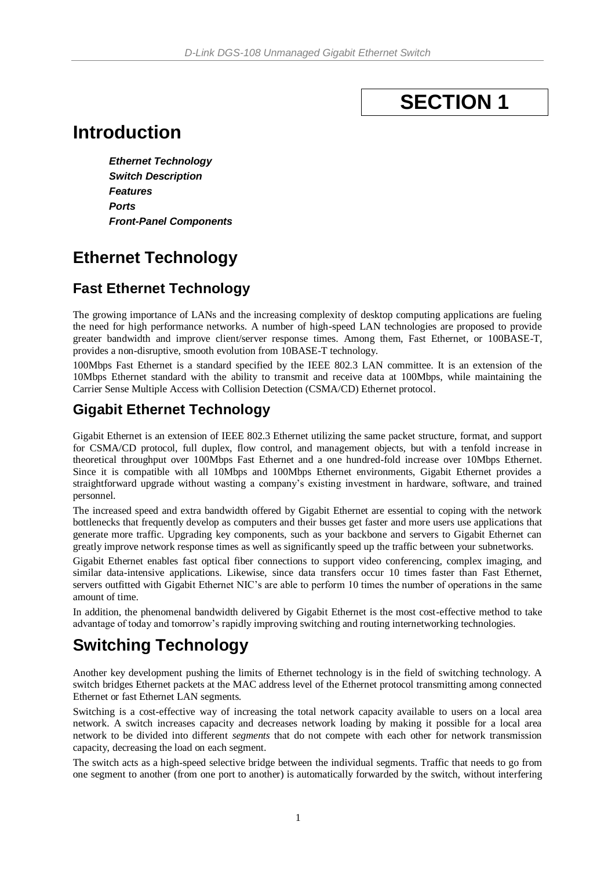# **SECTION 1**

# <span id="page-7-0"></span>**Introduction**

*Ethernet Technology Switch Description Features Ports Front-Panel Components*

## <span id="page-7-1"></span>**Ethernet Technology**

### <span id="page-7-2"></span>**Fast Ethernet Technology**

The growing importance of LANs and the increasing complexity of desktop computing applications are fueling the need for high performance networks. A number of high-speed LAN technologies are proposed to provide greater bandwidth and improve client/server response times. Among them, Fast Ethernet, or 100BASE-T, provides a non-disruptive, smooth evolution from 10BASE-T technology.

100Mbps Fast Ethernet is a standard specified by the IEEE 802.3 LAN committee. It is an extension of the 10Mbps Ethernet standard with the ability to transmit and receive data at 100Mbps, while maintaining the Carrier Sense Multiple Access with Collision Detection (CSMA/CD) Ethernet protocol.

### <span id="page-7-3"></span>**Gigabit Ethernet Technology**

Gigabit Ethernet is an extension of IEEE 802.3 Ethernet utilizing the same packet structure, format, and support for CSMA/CD protocol, full duplex, flow control, and management objects, but with a tenfold increase in theoretical throughput over 100Mbps Fast Ethernet and a one hundred-fold increase over 10Mbps Ethernet. Since it is compatible with all 10Mbps and 100Mbps Ethernet environments, Gigabit Ethernet provides a straightforward upgrade without wasting a company's existing investment in hardware, software, and trained personnel.

The increased speed and extra bandwidth offered by Gigabit Ethernet are essential to coping with the network bottlenecks that frequently develop as computers and their busses get faster and more users use applications that generate more traffic. Upgrading key components, such as your backbone and servers to Gigabit Ethernet can greatly improve network response times as well as significantly speed up the traffic between your subnetworks.

Gigabit Ethernet enables fast optical fiber connections to support video conferencing, complex imaging, and similar data-intensive applications. Likewise, since data transfers occur 10 times faster than Fast Ethernet, servers outfitted with Gigabit Ethernet NIC's are able to perform 10 times the number of operations in the same amount of time.

In addition, the phenomenal bandwidth delivered by Gigabit Ethernet is the most cost-effective method to take advantage of today and tomorrow's rapidly improving switching and routing internetworking technologies.

## <span id="page-7-4"></span>**Switching Technology**

Another key development pushing the limits of Ethernet technology is in the field of switching technology. A switch bridges Ethernet packets at the MAC address level of the Ethernet protocol transmitting among connected Ethernet or fast Ethernet LAN segments.

Switching is a cost-effective way of increasing the total network capacity available to users on a local area network. A switch increases capacity and decreases network loading by making it possible for a local area network to be divided into different *segments* that do not compete with each other for network transmission capacity, decreasing the load on each segment.

The switch acts as a high-speed selective bridge between the individual segments. Traffic that needs to go from one segment to another (from one port to another) is automatically forwarded by the switch, without interfering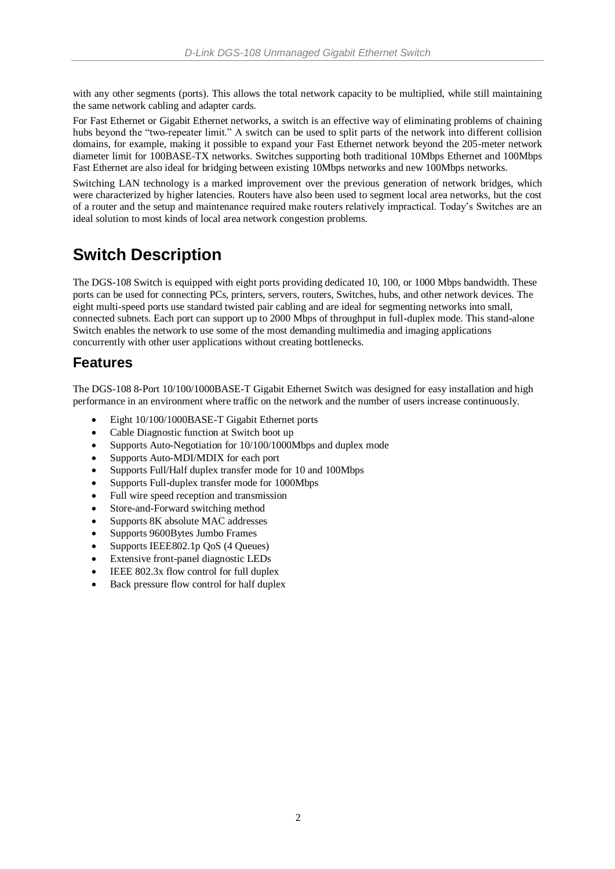with any other segments (ports). This allows the total network capacity to be multiplied, while still maintaining the same network cabling and adapter cards.

For Fast Ethernet or Gigabit Ethernet networks, a switch is an effective way of eliminating problems of chaining hubs beyond the "two-repeater limit." A switch can be used to split parts of the network into different collision domains, for example, making it possible to expand your Fast Ethernet network beyond the 205-meter network diameter limit for 100BASE-TX networks. Switches supporting both traditional 10Mbps Ethernet and 100Mbps Fast Ethernet are also ideal for bridging between existing 10Mbps networks and new 100Mbps networks.

Switching LAN technology is a marked improvement over the previous generation of network bridges, which were characterized by higher latencies. Routers have also been used to segment local area networks, but the cost of a router and the setup and maintenance required make routers relatively impractical. Today's Switches are an ideal solution to most kinds of local area network congestion problems.

## <span id="page-8-0"></span>**Switch Description**

The DGS-108 Switch is equipped with eight ports providing dedicated 10, 100, or 1000 Mbps bandwidth. These ports can be used for connecting PCs, printers, servers, routers, Switches, hubs, and other network devices. The eight multi-speed ports use standard twisted pair cabling and are ideal for segmenting networks into small, connected subnets. Each port can support up to 2000 Mbps of throughput in full-duplex mode. This stand-alone Switch enables the network to use some of the most demanding multimedia and imaging applications concurrently with other user applications without creating bottlenecks.

### <span id="page-8-1"></span>**Features**

The DGS-108 8-Port 10/100/1000BASE-T Gigabit Ethernet Switch was designed for easy installation and high performance in an environment where traffic on the network and the number of users increase continuously.

- Eight 10/100/1000BASE-T Gigabit Ethernet ports
- Cable Diagnostic function at Switch boot up
- Supports Auto-Negotiation for 10/100/1000Mbps and duplex mode
- Supports Auto-MDI/MDIX for each port
- Supports Full/Half duplex transfer mode for 10 and 100Mbps
- Supports Full-duplex transfer mode for 1000Mbps
- Full wire speed reception and transmission
- Store-and-Forward switching method
- Supports 8K absolute MAC addresses
- Supports 9600Bytes Jumbo Frames
- Supports IEEE802.1p QoS (4 Queues)
- Extensive front-panel diagnostic LEDs
- IEEE 802.3x flow control for full duplex
- Back pressure flow control for half duplex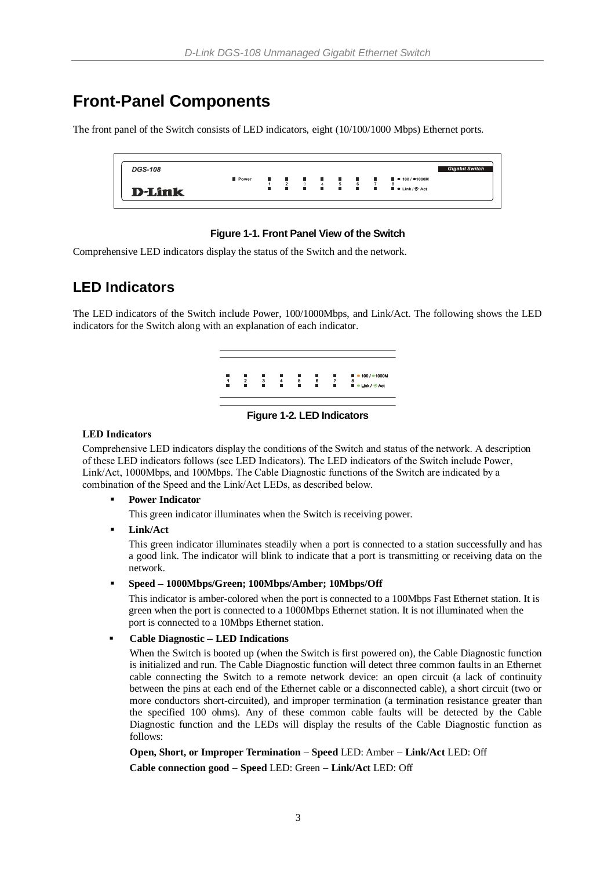## <span id="page-9-0"></span>**Front-Panel Components**

The front panel of the Switch consists of LED indicators, eight (10/100/1000 Mbps) Ethernet ports.

| <b>DGS-108</b> |       |       |                     |                                |             |                               |   |                                   |                                                | <b>Gigabit Switch</b> |
|----------------|-------|-------|---------------------|--------------------------------|-------------|-------------------------------|---|-----------------------------------|------------------------------------------------|-----------------------|
|                | Power | a a s | $\sim$              | .                              |             |                               |   | <b>Contract Contract Contract</b> | $\blacksquare$ $\bullet$ 100 / $\bullet$ 1000M |                       |
|                |       |       | $\overline{ }$<br>٠ | -3<br><b>Contract Contract</b> | $4 -$<br>п. | 5<br><b>Contract Contract</b> | 6 | <b>Barbara</b>                    | ■ ● Link / S Act                               |                       |
| <b>D-Link</b>  |       |       |                     |                                |             |                               |   |                                   |                                                |                       |
|                |       |       |                     |                                |             |                               |   |                                   |                                                |                       |

### **Figure 1-1. Front Panel View of the Switch**

Comprehensive LED indicators display the status of the Switch and the network.

### <span id="page-9-1"></span>**LED Indicators**

The LED indicators of the Switch include Power, 100/1000Mbps, and Link/Act. The following shows the LED indicators for the Switch along with an explanation of each indicator.



### **Figure 1-2. LED Indicators**

### **LED Indicators**

Comprehensive LED indicators display the conditions of the Switch and status of the network. A description of these LED indicators follows (see LED Indicators). The LED indicators of the Switch include Power, Link/Act, 1000Mbps, and 100Mbps. The Cable Diagnostic functions of the Switch are indicated by a combination of the Speed and the Link/Act LEDs, as described below.

**Power Indicator** 

This green indicator illuminates when the Switch is receiving power.

### **Link/Act**

This green indicator illuminates steadily when a port is connected to a station successfully and has a good link. The indicator will blink to indicate that a port is transmitting or receiving data on the network.

### **Speed 1000Mbps/Green; 100Mbps/Amber; 10Mbps/Off**

This indicator is amber-colored when the port is connected to a 100Mbps Fast Ethernet station. It is green when the port is connected to a 1000Mbps Ethernet station. It is not illuminated when the port is connected to a 10Mbps Ethernet station.

### **Cable Diagnostic LED Indications**

When the Switch is booted up (when the Switch is first powered on), the Cable Diagnostic function is initialized and run. The Cable Diagnostic function will detect three common faults in an Ethernet cable connecting the Switch to a remote network device: an open circuit (a lack of continuity between the pins at each end of the Ethernet cable or a disconnected cable), a short circuit (two or more conductors short-circuited), and improper termination (a termination resistance greater than the specified 100 ohms). Any of these common cable faults will be detected by the Cable Diagnostic function and the LEDs will display the results of the Cable Diagnostic function as follows:

**Open, Short, or Improper Termination Speed** LED: Amber **Link/Act** LED: Off

**Cable connection good Speed** LED: Green **Link/Act** LED: Off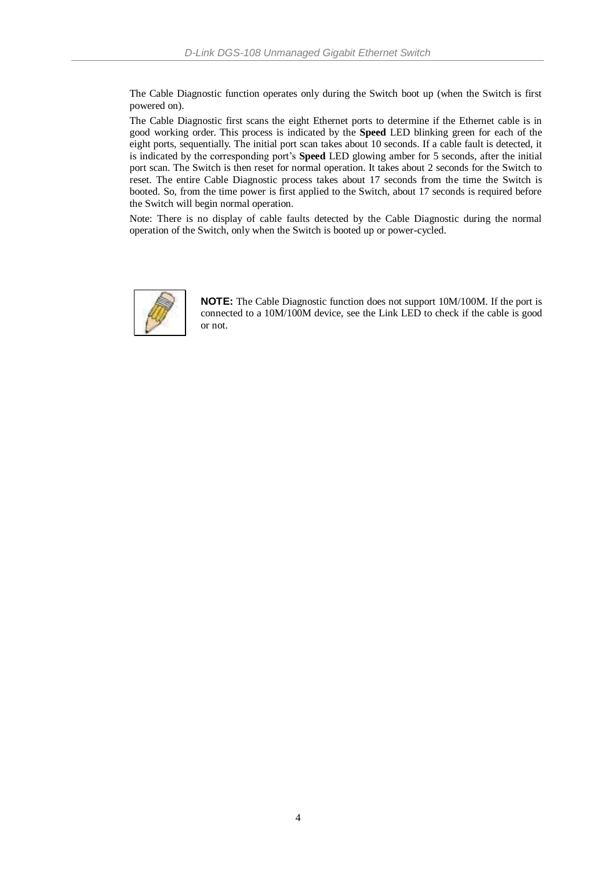The Cable Diagnostic function operates only during the Switch boot up (when the Switch is first powered on).

The Cable Diagnostic first scans the eight Ethernet ports to determine if the Ethernet cable is in good working order. This process is indicated by the **Speed** LED blinking green for each of the eight ports, sequentially. The initial port scan takes about 10 seconds. If a cable fault is detected, it is indicated by the corresponding port's **Speed** LED glowing amber for 5 seconds, after the initial port scan. The Switch is then reset for normal operation. It takes about 2 seconds for the Switch to reset. The entire Cable Diagnostic process takes about 17 seconds from the time the Switch is booted. So, from the time power is first applied to the Switch, about 17 seconds is required before the Switch will begin normal operation.

Note: There is no display of cable faults detected by the Cable Diagnostic during the normal operation of the Switch, only when the Switch is booted up or power-cycled.



**NOTE:** The Cable Diagnostic function does not support 10M/100M. If the port is connected to a 10M/100M device, see the Link LED to check if the cable is good or not.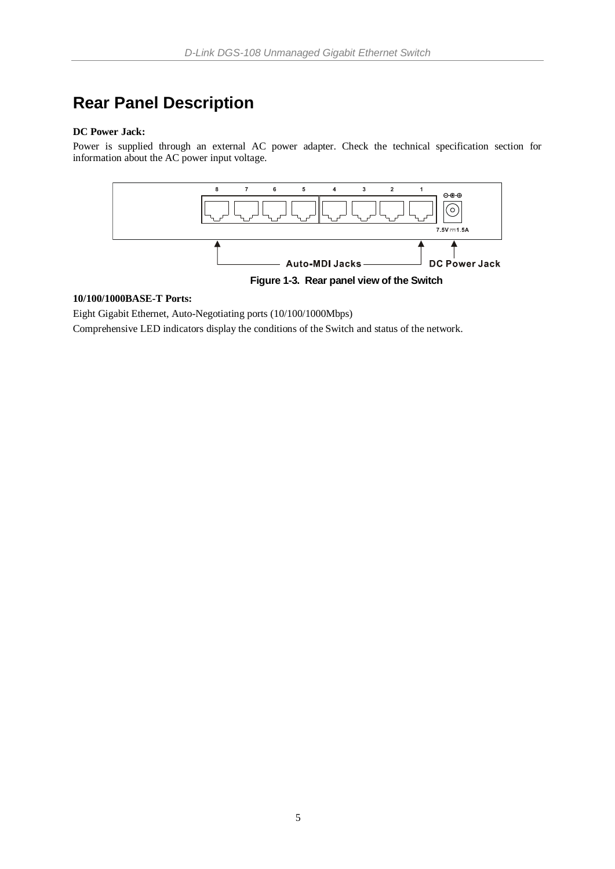# <span id="page-11-0"></span>**Rear Panel Description**

### **DC Power Jack:**

Power is supplied through an external AC power adapter. Check the technical specification section for information about the AC power input voltage.



### **10/100/1000BASE-T Ports:**

Eight Gigabit Ethernet, Auto-Negotiating ports (10/100/1000Mbps)

Comprehensive LED indicators display the conditions of the Switch and status of the network.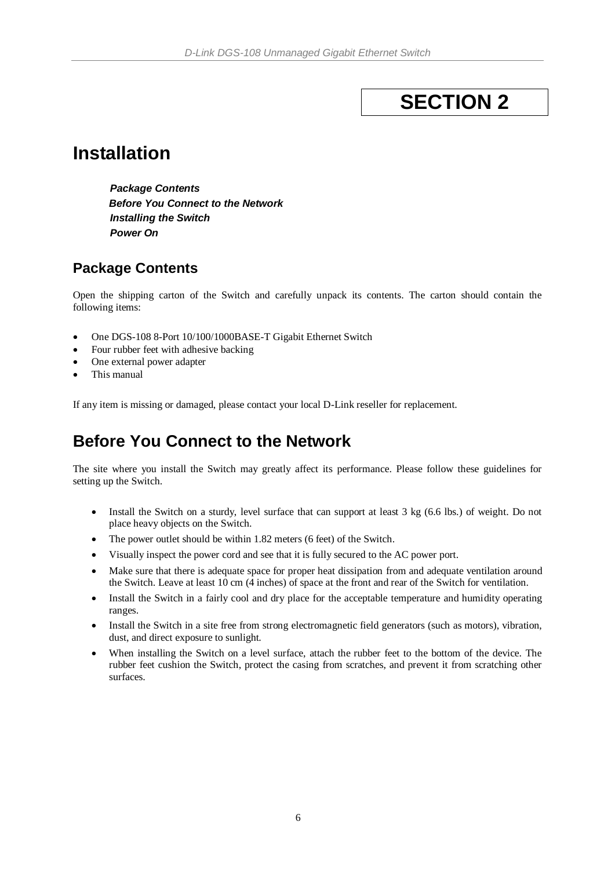# **SECTION 2**

# <span id="page-12-0"></span>**Installation**

*Package Contents Before You Connect to the Network Installing the Switch Power On*

### <span id="page-12-1"></span>**Package Contents**

Open the shipping carton of the Switch and carefully unpack its contents. The carton should contain the following items:

- One DGS-108 8-Port 10/100/1000BASE-T Gigabit Ethernet Switch
- Four rubber feet with adhesive backing
- One external power adapter
- This manual

If any item is missing or damaged, please contact your local D-Link reseller for replacement.

### <span id="page-12-2"></span>**Before You Connect to the Network**

The site where you install the Switch may greatly affect its performance. Please follow these guidelines for setting up the Switch.

- Install the Switch on a sturdy, level surface that can support at least 3 kg (6.6 lbs.) of weight. Do not place heavy objects on the Switch.
- The power outlet should be within 1.82 meters (6 feet) of the Switch.
- Visually inspect the power cord and see that it is fully secured to the AC power port.
- Make sure that there is adequate space for proper heat dissipation from and adequate ventilation around the Switch. Leave at least 10 cm (4 inches) of space at the front and rear of the Switch for ventilation.
- Install the Switch in a fairly cool and dry place for the acceptable temperature and humidity operating ranges.
- Install the Switch in a site free from strong electromagnetic field generators (such as motors), vibration, dust, and direct exposure to sunlight.
- When installing the Switch on a level surface, attach the rubber feet to the bottom of the device. The rubber feet cushion the Switch, protect the casing from scratches, and prevent it from scratching other surfaces.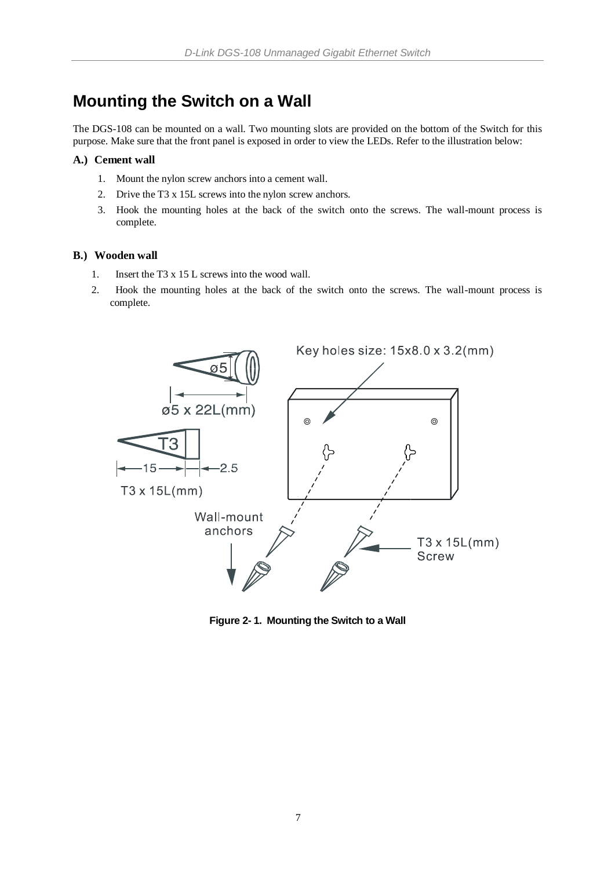### <span id="page-13-0"></span>**Mounting the Switch on a Wall**

The DGS-108 can be mounted on a wall. Two mounting slots are provided on the bottom of the Switch for this purpose. Make sure that the front panel is exposed in order to view the LEDs. Refer to the illustration below:

### **A.) Cement wall**

- 1. Mount the nylon screw anchors into a cement wall.
- 2. Drive the T3 x 15L screws into the nylon screw anchors.
- 3. Hook the mounting holes at the back of the switch onto the screws. The wall-mount process is complete.

### **B.) Wooden wall**

- 1. Insert the T3 x 15 L screws into the wood wall.
- 2. Hook the mounting holes at the back of the switch onto the screws. The wall-mount process is complete.



**Figure 2- 1. Mounting the Switch to a Wall**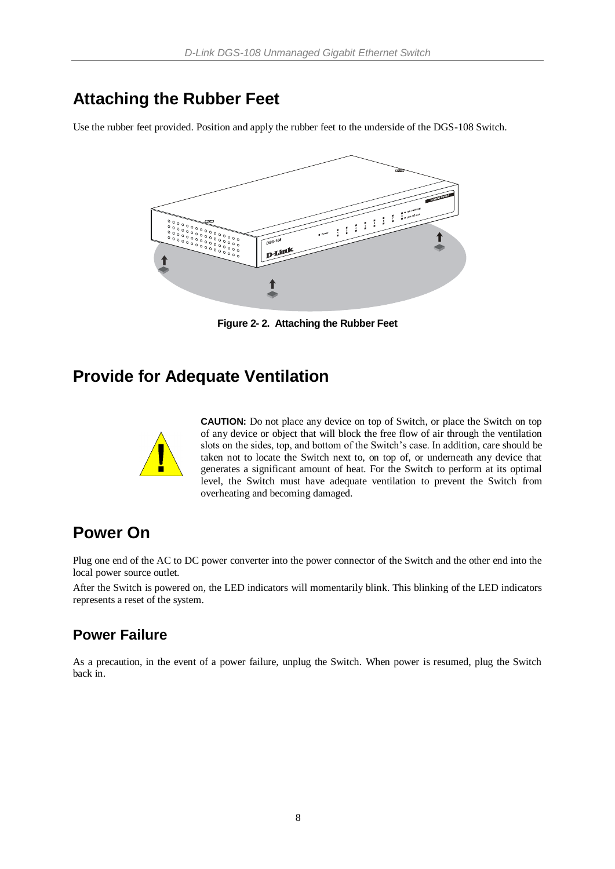### <span id="page-14-0"></span>**Attaching the Rubber Feet**

Use the rubber feet provided. Position and apply the rubber feet to the underside of the DGS-108 Switch.



**Figure 2- 2. Attaching the Rubber Feet**

### <span id="page-14-1"></span>**Provide for Adequate Ventilation**



**CAUTION:** Do not place any device on top of Switch, or place the Switch on top of any device or object that will block the free flow of air through the ventilation slots on the sides, top, and bottom of the Switch's case. In addition, care should be taken not to locate the Switch next to, on top of, or underneath any device that generates a significant amount of heat. For the Switch to perform at its optimal level, the Switch must have adequate ventilation to prevent the Switch from overheating and becoming damaged.

### <span id="page-14-2"></span>**Power On**

Plug one end of the AC to DC power converter into the power connector of the Switch and the other end into the local power source outlet.

After the Switch is powered on, the LED indicators will momentarily blink. This blinking of the LED indicators represents a reset of the system.

### <span id="page-14-3"></span>**Power Failure**

As a precaution, in the event of a power failure, unplug the Switch. When power is resumed, plug the Switch back in.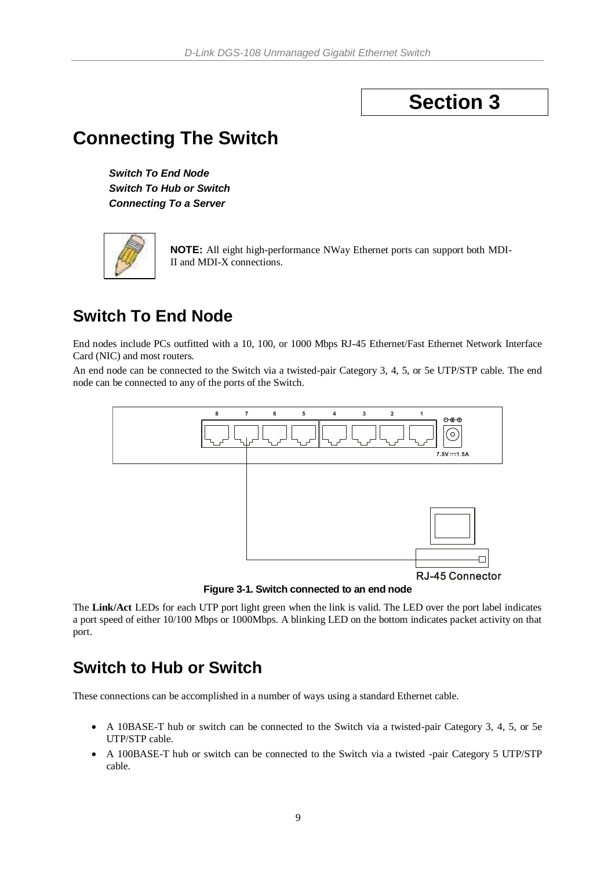# **Section 3**

# <span id="page-15-0"></span>**Connecting The Switch**

*Switch To End Node Switch To Hub or Switch Connecting To a Server*



**NOTE:** All eight high-performance NWay Ethernet ports can support both MDI-II and MDI-X connections.

### <span id="page-15-1"></span>**Switch To End Node**

End nodes include PCs outfitted with a 10, 100, or 1000 Mbps RJ-45 Ethernet/Fast Ethernet Network Interface Card (NIC) and most routers.

An end node can be connected to the Switch via a twisted-pair Category 3, 4, 5, or 5e UTP/STP cable. The end node can be connected to any of the ports of the Switch.



**Figure 3-1. Switch connected to an end node**

The **Link/Act** LEDs for each UTP port light green when the link is valid. The LED over the port label indicates a port speed of either 10/100 Mbps or 1000Mbps. A blinking LED on the bottom indicates packet activity on that port.

### <span id="page-15-2"></span>**Switch to Hub or Switch**

These connections can be accomplished in a number of ways using a standard Ethernet cable.

- A 10BASE-T hub or switch can be connected to the Switch via a twisted-pair Category 3, 4, 5, or 5e UTP/STP cable.
- A 100BASE-T hub or switch can be connected to the Switch via a twisted -pair Category 5 UTP/STP cable.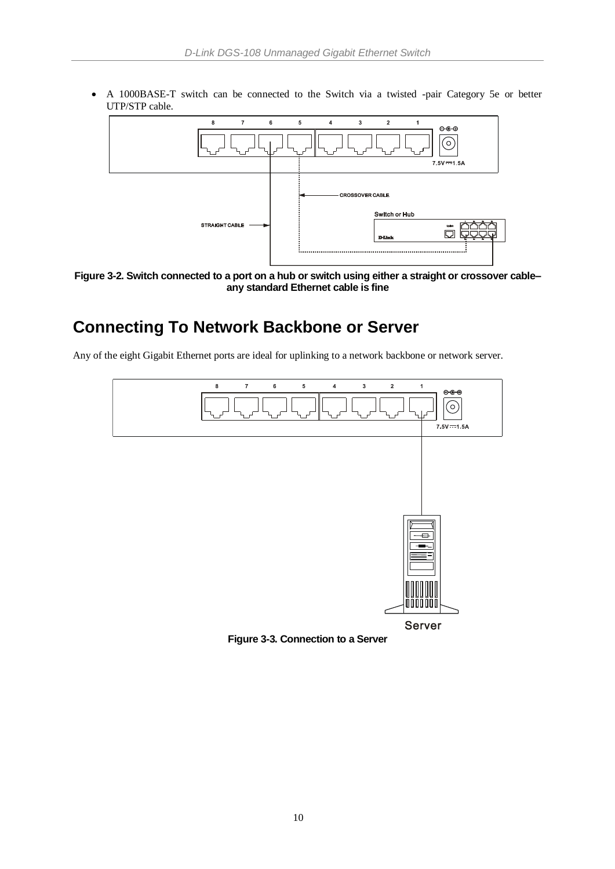A 1000BASE-T switch can be connected to the Switch via a twisted -pair Category 5e or better UTP/STP cable.



**Figure 3-2. Switch connected to a port on a hub or switch using either a straight or crossover cable– any standard Ethernet cable is fine**

## <span id="page-16-0"></span>**Connecting To Network Backbone or Server**

Any of the eight Gigabit Ethernet ports are ideal for uplinking to a network backbone or network server.



**Figure 3-3. Connection to a Server**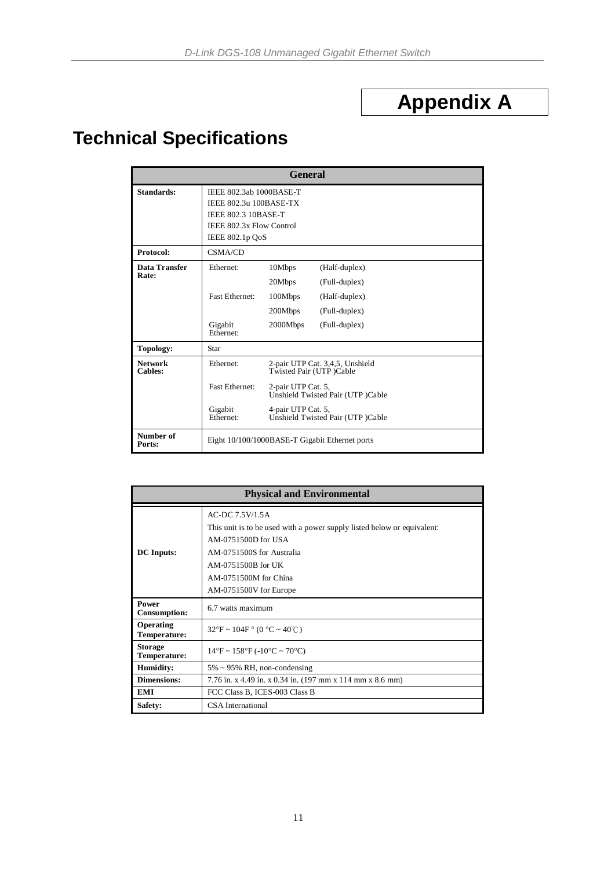# **Appendix A**

# <span id="page-17-0"></span>**Technical Specifications**

|                                  |                                                                                                                                | <b>General</b>                                                      |                                                                                                         |
|----------------------------------|--------------------------------------------------------------------------------------------------------------------------------|---------------------------------------------------------------------|---------------------------------------------------------------------------------------------------------|
| Standards:                       | IEEE 802.3ab 1000BASE-T<br>IEEE 802.3u 100BASE-TX<br><b>IEEE 802.3 10BASE-T</b><br>IEEE 802.3x Flow Control<br>IEEE 802.1p QoS |                                                                     |                                                                                                         |
| Protocol:                        | CSMA/CD                                                                                                                        |                                                                     |                                                                                                         |
| Data Transfer<br>Rate:           | Ethernet:<br><b>Fast Ethernet:</b><br>Gigabit<br>Ethernet:                                                                     | 10Mbps<br>20Mbps<br>100Mbps<br>200Mbps<br>2000Mbps                  | (Half-duplex)<br>(Full-duplex)<br>(Half-duplex)<br>(Full-duplex)<br>(Full-duplex)                       |
| <b>Topology:</b>                 | Star                                                                                                                           |                                                                     |                                                                                                         |
| <b>Network</b><br><b>Cables:</b> | Ethernet:<br><b>Fast Ethernet:</b><br>Gigabit<br>Ethernet:                                                                     | Twisted Pair (UTP)Cable<br>2-pair UTP Cat. 5,<br>4-pair UTP Cat. 5, | 2-pair UTP Cat. 3,4,5, Unshield<br>Unshield Twisted Pair (UTP)Cable<br>Unshield Twisted Pair (UTP)Cable |
| Number of<br>Ports:              |                                                                                                                                |                                                                     | Eight 10/100/1000BASE-T Gigabit Ethernet ports                                                          |

|                                  | <b>Physical and Environmental</b>                                                                                                                                                                                       |
|----------------------------------|-------------------------------------------------------------------------------------------------------------------------------------------------------------------------------------------------------------------------|
| <b>DC</b> Inputs:                | AC-DC 7.5V/1.5A<br>This unit is to be used with a power supply listed below or equivalent:<br>AM-0751500D for USA<br>AM-0751500S for Australia<br>AM-0751500B for UK<br>AM-0751500M for China<br>AM-0751500V for Europe |
| Power<br><b>Consumption:</b>     | 6.7 watts maximum                                                                                                                                                                                                       |
| Operating<br><b>Temperature:</b> | $32^{\circ}F \sim 104F$ ° (0 °C ~ 40°C)                                                                                                                                                                                 |
| <b>Storage</b><br>Temperature:   | $14^{\circ}F \sim 158^{\circ}F (-10^{\circ}C \sim 70^{\circ}C)$                                                                                                                                                         |
| Humidity:                        | $5\% \sim 95\%$ RH, non-condensing                                                                                                                                                                                      |
| <b>Dimensions:</b>               | 7.76 in. x 4.49 in. x 0.34 in. (197 mm x 114 mm x 8.6 mm)                                                                                                                                                               |
| <b>EMI</b>                       | FCC Class B, ICES-003 Class B                                                                                                                                                                                           |
| Safety:                          | <b>CSA</b> International                                                                                                                                                                                                |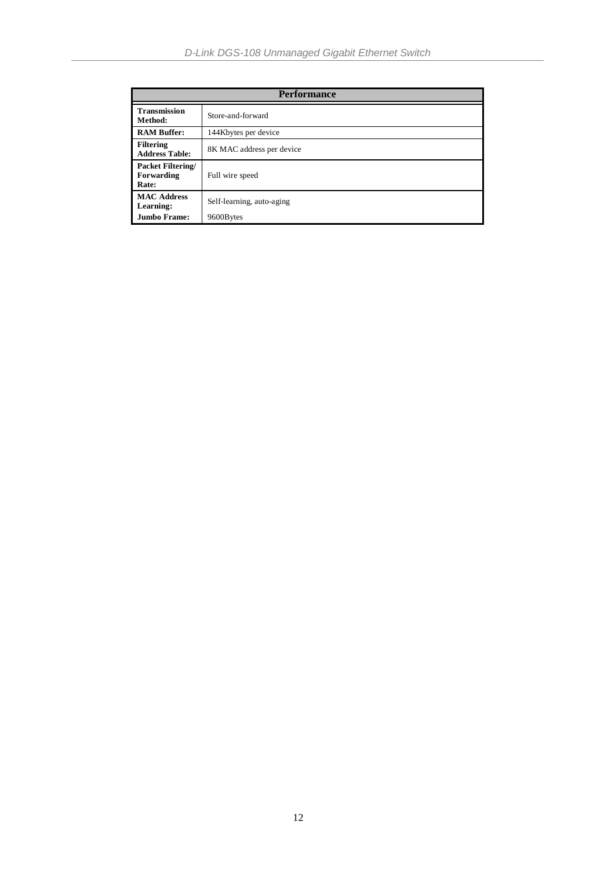|                                                 | <b>Performance</b>        |
|-------------------------------------------------|---------------------------|
| <b>Transmission</b><br>Method:                  | Store-and-forward         |
| <b>RAM Buffer:</b>                              | 144Kbytes per device      |
| <b>Filtering</b><br><b>Address Table:</b>       | 8K MAC address per device |
| <b>Packet Filtering/</b><br>Forwarding<br>Rate: | Full wire speed           |
| <b>MAC Address</b><br>Learning:                 | Self-learning, auto-aging |
| <b>Jumbo Frame:</b>                             | 9600Bytes                 |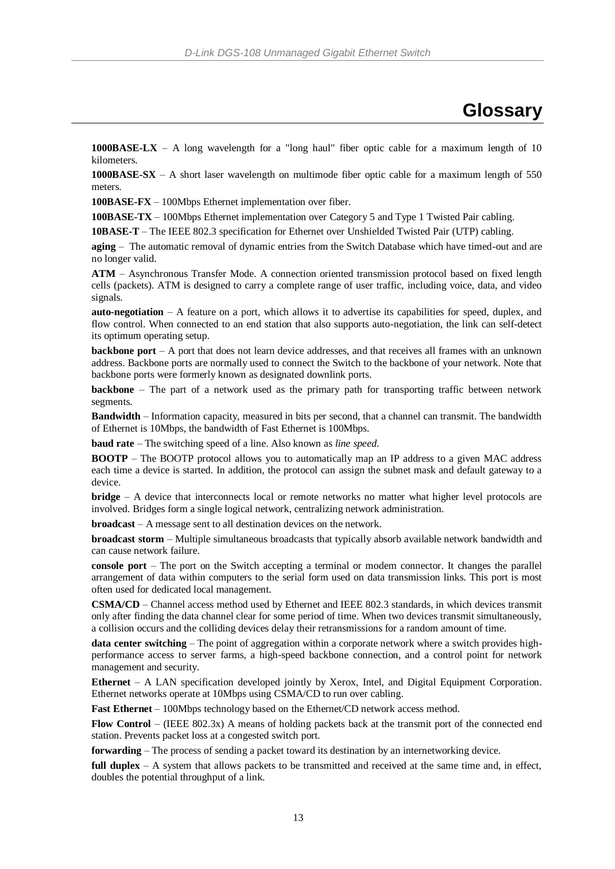### **Glossary**

<span id="page-19-0"></span>**1000BASE-LX** – A long wavelength for a "long haul" fiber optic cable for a maximum length of 10 kilometers.

**1000BASE-SX** – A short laser wavelength on multimode fiber optic cable for a maximum length of 550 meters.

**100BASE-FX** – 100Mbps Ethernet implementation over fiber.

**100BASE-TX** – 100Mbps Ethernet implementation over Category 5 and Type 1 Twisted Pair cabling.

**10BASE-T** – The IEEE 802.3 specification for Ethernet over Unshielded Twisted Pair (UTP) cabling.

**aging** – The automatic removal of dynamic entries from the Switch Database which have timed-out and are no longer valid.

**ATM** – Asynchronous Transfer Mode. A connection oriented transmission protocol based on fixed length cells (packets). ATM is designed to carry a complete range of user traffic, including voice, data, and video signals.

**auto-negotiation** – A feature on a port, which allows it to advertise its capabilities for speed, duplex, and flow control. When connected to an end station that also supports auto-negotiation, the link can self-detect its optimum operating setup.

**backbone port** – A port that does not learn device addresses, and that receives all frames with an unknown address. Backbone ports are normally used to connect the Switch to the backbone of your network. Note that backbone ports were formerly known as designated downlink ports.

**backbone** – The part of a network used as the primary path for transporting traffic between network segments.

**Bandwidth** – Information capacity, measured in bits per second, that a channel can transmit. The bandwidth of Ethernet is 10Mbps, the bandwidth of Fast Ethernet is 100Mbps.

**baud rate** – The switching speed of a line. Also known as *line speed*.

**BOOTP** – The BOOTP protocol allows you to automatically map an IP address to a given MAC address each time a device is started. In addition, the protocol can assign the subnet mask and default gateway to a device.

**bridge** – A device that interconnects local or remote networks no matter what higher level protocols are involved. Bridges form a single logical network, centralizing network administration.

**broadcast** – A message sent to all destination devices on the network.

**broadcast storm** – Multiple simultaneous broadcasts that typically absorb available network bandwidth and can cause network failure.

**console port** – The port on the Switch accepting a terminal or modem connector. It changes the parallel arrangement of data within computers to the serial form used on data transmission links. This port is most often used for dedicated local management.

**CSMA/CD** – Channel access method used by Ethernet and IEEE 802.3 standards, in which devices transmit only after finding the data channel clear for some period of time. When two devices transmit simultaneously, a collision occurs and the colliding devices delay their retransmissions for a random amount of time.

**data center switching** – The point of aggregation within a corporate network where a switch provides highperformance access to server farms, a high-speed backbone connection, and a control point for network management and security.

**Ethernet** – A LAN specification developed jointly by Xerox, Intel, and Digital Equipment Corporation. Ethernet networks operate at 10Mbps using CSMA/CD to run over cabling.

**Fast Ethernet** – 100Mbps technology based on the Ethernet/CD network access method.

**Flow Control** – (IEEE 802.3x) A means of holding packets back at the transmit port of the connected end station. Prevents packet loss at a congested switch port.

**forwarding** – The process of sending a packet toward its destination by an internetworking device.

**full duplex** – A system that allows packets to be transmitted and received at the same time and, in effect, doubles the potential throughput of a link.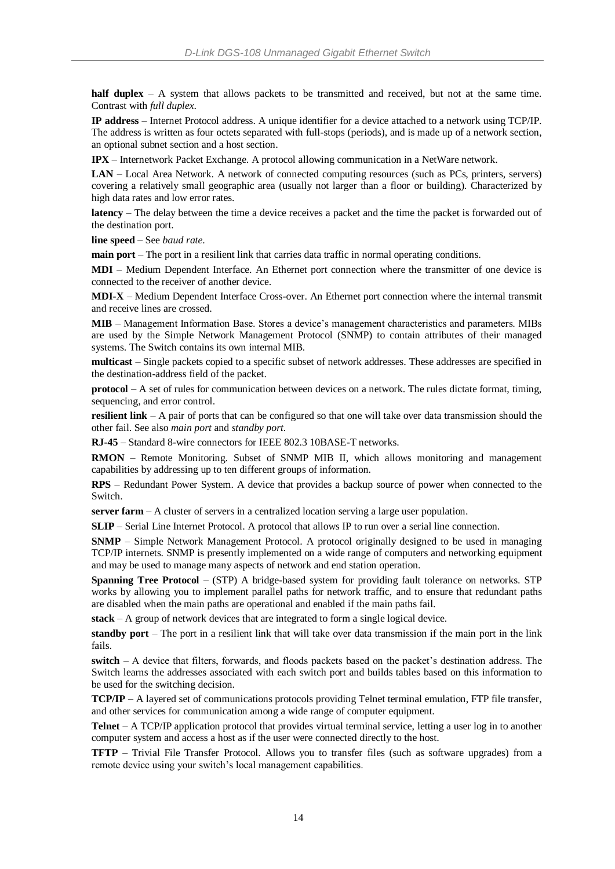**half duplex** – A system that allows packets to be transmitted and received, but not at the same time. Contrast with *full duplex*.

**IP address** – Internet Protocol address. A unique identifier for a device attached to a network using TCP/IP. The address is written as four octets separated with full-stops (periods), and is made up of a network section, an optional subnet section and a host section.

**IPX** – Internetwork Packet Exchange. A protocol allowing communication in a NetWare network.

**LAN** – Local Area Network. A network of connected computing resources (such as PCs, printers, servers) covering a relatively small geographic area (usually not larger than a floor or building). Characterized by high data rates and low error rates.

**latency** – The delay between the time a device receives a packet and the time the packet is forwarded out of the destination port.

**line speed** – See *baud rate*.

**main port** – The port in a resilient link that carries data traffic in normal operating conditions.

**MDI** – Medium Dependent Interface. An Ethernet port connection where the transmitter of one device is connected to the receiver of another device.

**MDI-X** – Medium Dependent Interface Cross-over. An Ethernet port connection where the internal transmit and receive lines are crossed.

**MIB** – Management Information Base. Stores a device's management characteristics and parameters. MIBs are used by the Simple Network Management Protocol (SNMP) to contain attributes of their managed systems. The Switch contains its own internal MIB.

**multicast** – Single packets copied to a specific subset of network addresses. These addresses are specified in the destination-address field of the packet.

**protocol** – A set of rules for communication between devices on a network. The rules dictate format, timing, sequencing, and error control.

**resilient link** – A pair of ports that can be configured so that one will take over data transmission should the other fail. See also *main port* and *standby port*.

**RJ-45** – Standard 8-wire connectors for IEEE 802.3 10BASE-T networks.

**RMON** – Remote Monitoring. Subset of SNMP MIB II, which allows monitoring and management capabilities by addressing up to ten different groups of information.

**RPS** – Redundant Power System. A device that provides a backup source of power when connected to the Switch.

**server farm** – A cluster of servers in a centralized location serving a large user population.

**SLIP** – Serial Line Internet Protocol. A protocol that allows IP to run over a serial line connection.

**SNMP** – Simple Network Management Protocol. A protocol originally designed to be used in managing TCP/IP internets. SNMP is presently implemented on a wide range of computers and networking equipment and may be used to manage many aspects of network and end station operation.

**Spanning Tree Protocol** – (STP) A bridge-based system for providing fault tolerance on networks. STP works by allowing you to implement parallel paths for network traffic, and to ensure that redundant paths are disabled when the main paths are operational and enabled if the main paths fail.

**stack** – A group of network devices that are integrated to form a single logical device.

**standby port** – The port in a resilient link that will take over data transmission if the main port in the link fails.

**switch** – A device that filters, forwards, and floods packets based on the packet's destination address. The Switch learns the addresses associated with each switch port and builds tables based on this information to be used for the switching decision.

**TCP/IP** – A layered set of communications protocols providing Telnet terminal emulation, FTP file transfer, and other services for communication among a wide range of computer equipment.

**Telnet** – A TCP/IP application protocol that provides virtual terminal service, letting a user log in to another computer system and access a host as if the user were connected directly to the host.

**TFTP** – Trivial File Transfer Protocol. Allows you to transfer files (such as software upgrades) from a remote device using your switch's local management capabilities.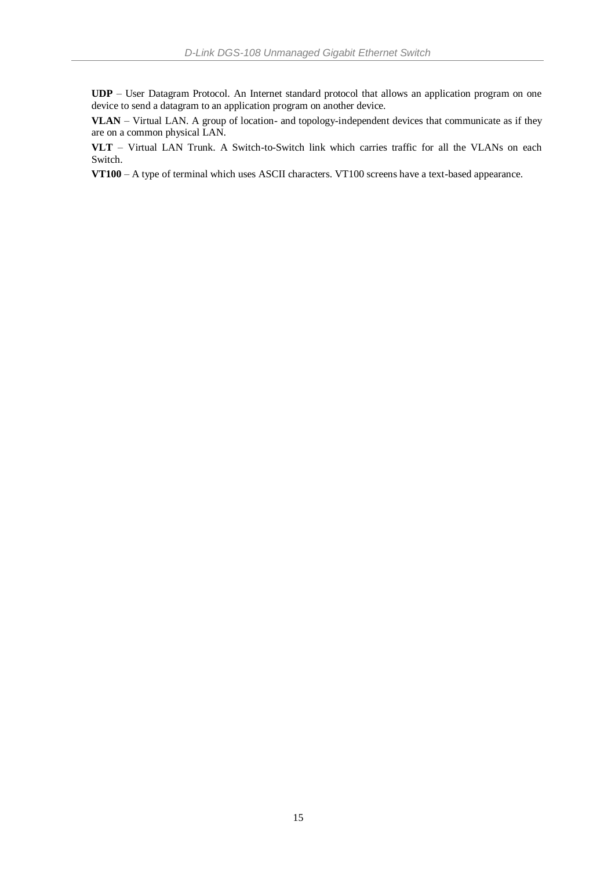**UDP** – User Datagram Protocol. An Internet standard protocol that allows an application program on one device to send a datagram to an application program on another device.

**VLAN** – Virtual LAN. A group of location- and topology-independent devices that communicate as if they are on a common physical LAN.

**VLT** – Virtual LAN Trunk. A Switch-to-Switch link which carries traffic for all the VLANs on each Switch.

**VT100** – A type of terminal which uses ASCII characters. VT100 screens have a text-based appearance.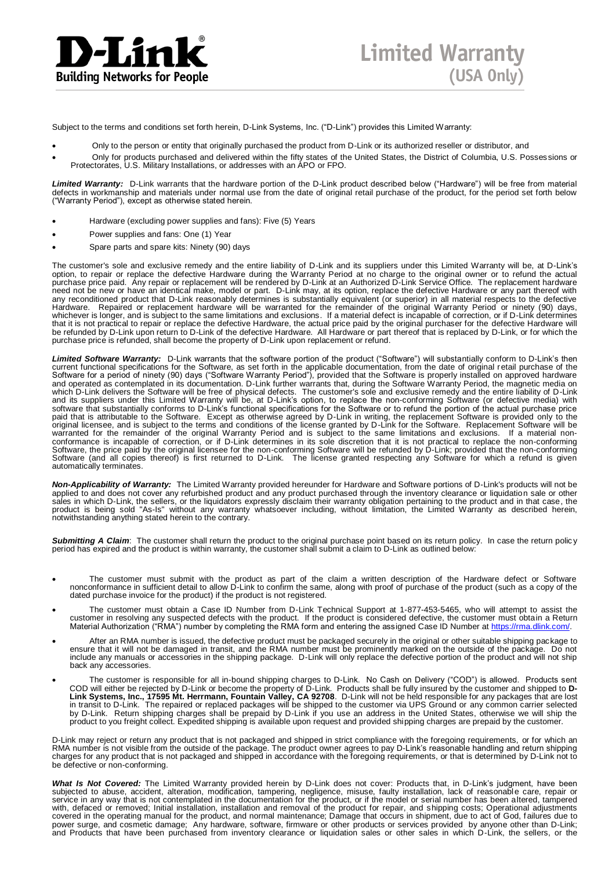

Subject to the terms and conditions set forth herein, D-Link Systems, Inc. ("D-Link") provides this Limited Warranty:

- Only to the person or entity that originally purchased the product from D-Link or its authorized reseller or distributor, and
- Only for products purchased and delivered within the fifty states of the United States, the District of Columbia, U.S. Possessions or Protectorates, U.S. Military Installations, or addresses with an APO or FPO.

*Limited Warranty:*D-Link warrants that the hardware portion of the D-Link product described below ("Hardware") will be free from material defects in workmanship and materials under normal use from the date of original retail purchase of the product, for the period set forth below<br>("Warranty Period"), except as otherwise stated herein.

- Hardware (excluding power supplies and fans): Five (5) Years
- Power supplies and fans: One (1) Year
- Spare parts and spare kits: Ninety (90) days

The customer's sole and exclusive remedy and the entire liability of D-Link and its suppliers under this Limited Warranty will be, at D-Link's option, to repair or replace the defective Hardware during the Warranty Period at no charge to the original owner or to refund the actual purchase price paid. Any repair or replacement will be rendered by D-Link at an Authorized D-Link Service Office. The replacement hardware need not be new or have an identical make, model or part. D-Link may, at its option, replace the defective Hardware or any part thereof with<br>any reconditioned product that D-Link reasonably determines is substantially equi whichever is longer, and is subject to the same limitations and exclusions. If a material defect is incapable of correction, or if D-Link determines<br>that it is not practical to repair or replace the defective Hardware, the be refunded by D-Link upon return to D-Link of the defective Hardware. All Hardware or part thereof that is replaced by D-Link, or for which the purchase price is refunded, shall become the property of D-Link upon replacement or refund.

*Limited Software Warranty:* D-Link warrants that the software portion of the product ("Software") will substantially conform to D-Link's then current functional specifications for the Software, as set forth in the applicable documentation, from the date of original retail purchase of the Software for a period of ninety (90) days ("Software Warranty Period"), provided that the Software is properly installed on approved hardware and operated as contemplated in its documentation. D-Link further warrants that, during the Software Warranty Period, the magnetic media on<br>which D-Link delivers the Software will be free of physical defects. The customer' software that substantially conforms to D-Link's functional specifications for the Software or to refund the portion of the actual purchase price<br>paid that is attributable to the Software. Except as otherwise agreed by D-L warranted for the remainder of the original Warranty Period and is subject to the same limitations and exclusions. If a material non-<br>conformance is incapable of correction, or if D-Link determines in its sole discretion t Software (and all copies thereof) is first returned to D-Link. The license granted respecting any Software for which a refund is given automatically terminates.

**Non-Applicability of Warranty:** The Limited Warranty provided hereunder for Hardware and Software portions of D-Link's products will not be<br>applied to and does not cover any refurbished product and any product purchased t sales in which D-Link, the sellers, or the liquidators expressly disclaim their warranty obligation pertaining to the product and in that case, the<br>product is being sold "As-Is" without any warranty whatsoever including, w notwithstanding anything stated herein to the contrary.

Submitting A Claim: The customer shall return the product to the original purchase point based on its return policy. In case the return policy period has expired and the product is within warranty, the customer shall submit a claim to D-Link as outlined below:

- The customer must submit with the product as part of the claim a written description of the Hardware defect or Software<br>nonconformance in sufficient detail to allow D-Link to confirm the same, along with proof of purchas dated purchase invoice for the product) if the product is not registered.
- The customer must obtain a Case ID Number from D-Link Technical Support at 1-877-453-5465, who will attempt to assist the customer in resolving any suspected defects with the product. If the product is considered defecti Material Authorization ("RMA") number by completing the RMA form and entering the assigned Case ID Number at <u>https://rma.dlink.com/</u>.
- After an RMA number is issued, the defective product must be packaged securely in the original or other suitable shipping package to<br>ensure that it will not be damaged in transit, and the RMA number must be prominently m include any manuals or accessories in the shipping package. D-Link will only replace the defective portion of the product and will not ship back any accessories.
- The customer is responsible for all in-bound shipping charges to D-Link. No Cash on Delivery ("COD") is allowed. Products sent COD will either be rejected by D-Link or become the property of D-Link. Products shall be fully insured by the customer and shipped to **D-**<br>**Link Systems, Inc., 17595 Mt. Herrmann, Fountain Valley, CA 92708**. D-Link will n by D-Link. Return shipping charges shall be prepaid by D-Link if you use an address in the United States, otherwise we will ship the<br>product to you freight collect. Expedited shipping is available upon request and provided

D-Link may reject or return any product that is not packaged and shipped in strict compliance with the foregoing requirements, or for which an RMA number is not visible from the outside of the package. The product owner agrees to pay D-Link's reasonable handling and return shipping charges for any product that is not packaged and shipped in accordance with the foregoing requirements, or that is determined by D-Link not to be defective or non-conforming.

What Is Not Covered: The Limited Warranty provided herein by D-Link does not cover: Products that, in D-Link's judgment, have been<br>subjected to abuse, accident, alteration, modification, tampering, negligence, misuse, faul service in any way that is not contemplated in the documentation for the product, or if the model or serial number has been altered, tampered<br>with, defaced or removed; Initial installation, installation and removal of the covered in the operating manual for the product, and normal maintenance; Damage that occurs in shipment, due to act of God, f ailures due to power surge, and cosmetic damage; Any hardware, software, firmware or other products or services provided by anyone other than D-Link; and Products that have been purchased from inventory clearance or liquidation sales or other sales in which D-Link, the sellers, or the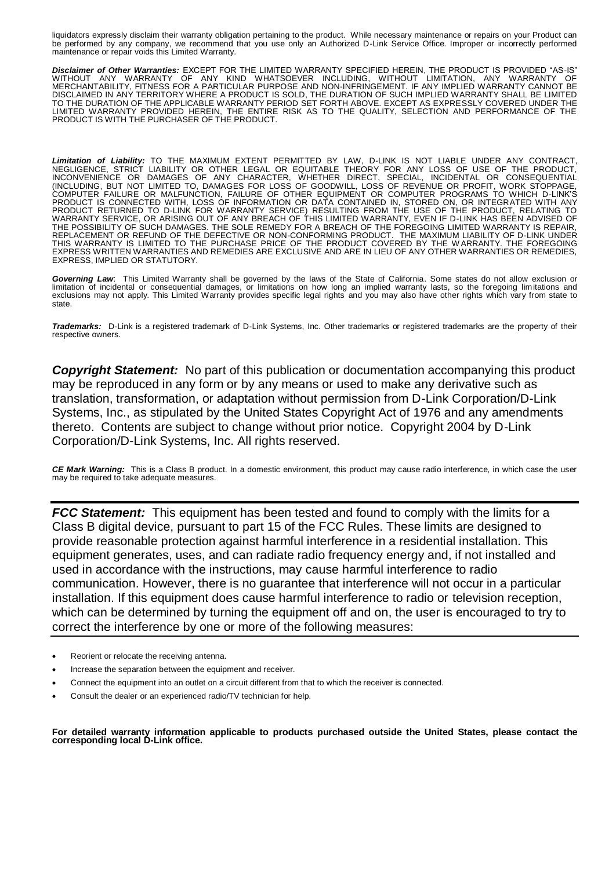liquidators expressly disclaim their warranty obligation pertaining to the product. While necessary maintenance or repairs on your Product can be performed by any company, we recommend that you use only an Authorized D-Link Service Office. Improper or incorrectly performed maintenance or repair voids this Limited Warranty.

*Disclaimer of Other Warranties:* EXCEPT FOR THE LIMITED WARRANTY SPECIFIED HEREIN, THE PRODUCT IS PROVIDED "AS-IS" WITHOUT ANY WARRANTY OF ANY KIND WHATSOEVER INCLUDING, WITHOUT LIMITATION, ANY WARRANTY OF MERCHANTABILITY, FITNESS FOR A PARTICULAR PURPOSE AND NON-INFRINGEMENT. IF ANY IMPLIED WARRANTY CANNOT BE DISCLAIMED IN ANY TERRITORY WHERE A PRODUCT IS SOLD, THE DURATION OF SUCH IMPLIED WARRANTY SHALL BE LIMITED<br>TO THE DURATION OF THE APPLICABLE WARRANTY PERIOD SET FORTH ABOVE. EXCEPT AS EXPRESSLY COVERED UNDER THE LIMITED WARRANTY PROVIDED HEREIN, THE ENTIRE RISK AS TO THE QUALITY, SELECTION AND PERFORMANCE OF THE PRODUCT IS WITH THE PURCHASER OF THE PRODUCT.

*Limitation of Liability:* TO THE MAXIMUM EXTENT PERMITTED BY LAW, D-LINK IS NOT LIABLE UNDER ANY CONTRACT, NEGLIGENCE, STRICT LIABILITY OR OTHER LEGAL OR EQUITABLE THEORY FOR ANY LOSS OF USE OF THE PRODUCT, INCONVENIENCE OR DAMAGES OF ANY CHARACTER, WHETHER DIRECT, SPECIAL, INCIDENTAL OR CONSEQUENTIAL (INCLUDING, BUT NOT LIMITED TO, DAMAGES FOR LOSS OF GOODWILL, LOSS OF REVENUE OR PROFIT, WORK STOPPAGE,<br>COMPUTER FAILURE OR MALFUNCTION, FAILURE OF OTHER EQUIPMENT OR COMPUTER PROGRAMS TO WHICH D-LINK'S<br>PRODUCT IS CONNECTE PRODUCT RETURNED TO D-LINK FOR WARRANTY SERVICE) RESULTING FROM THE USE OF THE PRODUCT, RELATING TO<br>WARRANTY SERVICE, OR ARISING OUT OF ANY BREACH OF THIS LIMITED WARRANTY, EVEN IF D-LINK HAS BEEN ADVISED OF<br>THE POSSIBILIT REPLACEMENT OR REFUND OF THE DEFECTIVE OR NON-CONFORMING PRODUCT. THE MAXIMUM LIABILITY OF D-LINK UNDER<br>THIS WARRANTY IS LIMITED TO THE PURCHASE PRICE OF THE PRODUCT COVERED BY THE WARRANTY. THE FOREGOING<br>EXPRESS WRITTEN W EXPRESS, IMPLIED OR STATUTORY.

*Governing Law*: This Limited Warranty shall be governed by the laws of the State of California. Some states do not allow exclusion or limitation of incidental or consequential damages, or limitations on how long an implied warranty lasts, so the foregoing limitations and<br>exclusions may not apply. This Limited Warranty provides specific legal rights and y state.

*Trademarks:*D-Link is a registered trademark of D-Link Systems, Inc. Other trademarks or registered trademarks are the property of their respective owners.

*Copyright Statement:*No part of this publication or documentation accompanying this product may be reproduced in any form or by any means or used to make any derivative such as translation, transformation, or adaptation without permission from D-Link Corporation/D-Link Systems, Inc., as stipulated by the United States Copyright Act of 1976 and any amendments thereto. Contents are subject to change without prior notice. Copyright 2004 by D-Link Corporation/D-Link Systems, Inc. All rights reserved.

*CE Mark Warning:*This is a Class B product. In a domestic environment, this product may cause radio interference, in which case the user may be required to take adequate measures.

*FCC Statement:* This equipment has been tested and found to comply with the limits for a Class B digital device, pursuant to part 15 of the FCC Rules. These limits are designed to provide reasonable protection against harmful interference in a residential installation. This equipment generates, uses, and can radiate radio frequency energy and, if not installed and used in accordance with the instructions, may cause harmful interference to radio communication. However, there is no guarantee that interference will not occur in a particular installation. If this equipment does cause harmful interference to radio or television reception, which can be determined by turning the equipment off and on, the user is encouraged to try to correct the interference by one or more of the following measures:

- Reorient or relocate the receiving antenna.
- Increase the separation between the equipment and receiver.
- Connect the equipment into an outlet on a circuit different from that to which the receiver is connected.
- Consult the dealer or an experienced radio/TV technician for help.

**For detailed warranty information applicable to products purchased outside the United States, please contact the corresponding local D-Link office.**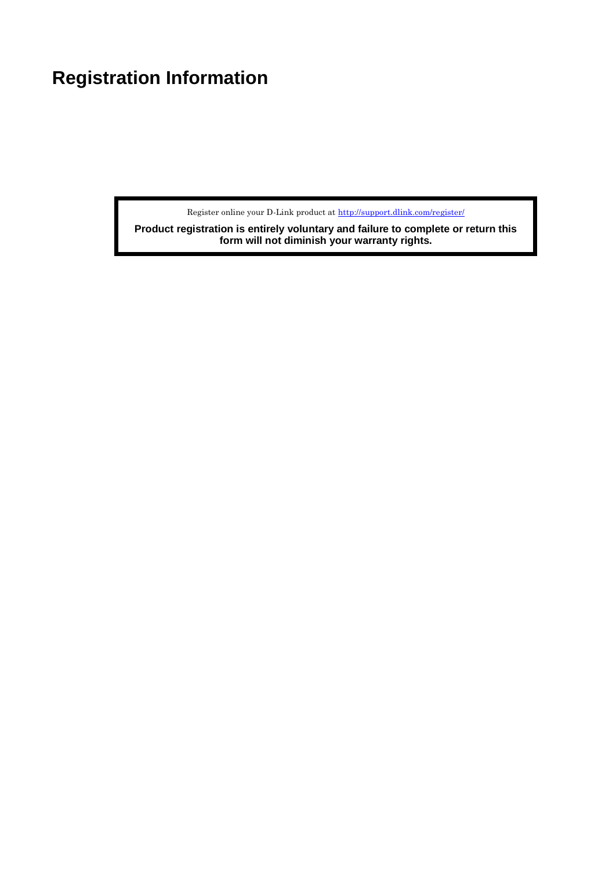# <span id="page-24-0"></span>**Registration Information**

Register online your D-Link product at<http://support.dlink.com/register/>

**Product registration is entirely voluntary and failure to complete or return this form will not diminish your warranty rights.**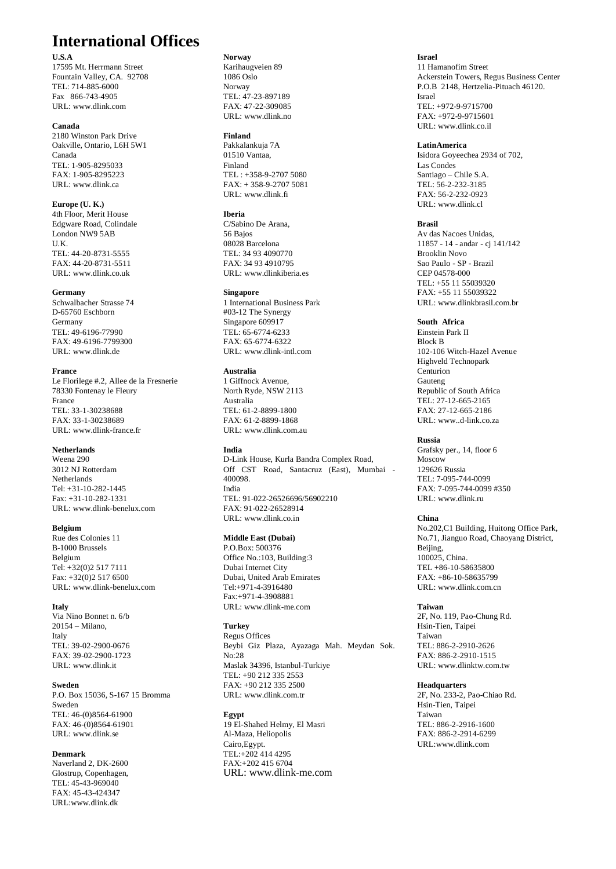### **International Offices**

### **U.S.A**

17595 Mt. Herrmann Street Fountain Valley, CA. 92708 TEL: 714-885-6000 Fax 866-743-4905 URL: www.dlink.com

### **Canada**

2180 Winston Park Drive Oakville, Ontario, L6H 5W1 Canada TEL: 1-905-8295033 FAX: 1-905-8295223 URL: www.dlink.ca

#### **Europe (U. K.)** 4th Floor, Merit House Edgware Road, Colindale London NW9 5AB

U.K. TEL: 44-20-8731-5555 FAX: 44-20-8731-5511 URL: www.dlink.co.uk

#### **Germany**

Schwalbacher Strasse 74 D-65760 Eschborn Germany TEL: 49-6196-77990 FAX: 49-6196-7799300 URL: www.dlink.de

#### **France**

Le Florilege #.2, Allee de la Fresnerie 78330 Fontenay le Fleury France TEL: 33-1-30238688 FAX: 33-1-30238689 URL: www.dlink-france.fr

### **Netherlands**

Weena 290 3012 NJ Rotterdam **Netherlands** Tel: +31-10-282-1445 Fax: +31-10-282-1331 URL: www.dlink-benelux.com

#### **Belgium**

Rue des Colonies 11 B-1000 Brussels Belgium Tel: +32(0)2 517 7111 Fax: +32(0)2 517 6500 URL: [www.dlink-benelux.com](http://www.dlink-benelux.com/)

#### **Italy**

Via Nino Bonnet n. 6/b 20154 – Milano, Italy TEL: 39-02-2900-0676 FAX: 39-02-2900-1723 URL: www.dlink.it

#### **Sweden**

P.O. Box 15036, S-167 15 Bromma Sweden TEL: 46-(0)8564-61900 FAX: 46-(0)8564-61901 URL[: www.dlink.se](http://www.dlink.se/)

#### **Denmark**

Naverland 2, DK-2600 Glostrup, Copenhagen, TEL: 45-43-969040 FAX: 45-43-424347 [URL:www.dlink.dk](file:///E:/Switch/共同事務區/Switch/DXS-3326GSR(Maestro)/www.dlink.dk)

### **Norway**

Karihaugveien 89 1086 Oslo Norway TEL: 47-23-897189 FAX: 47-22-309085 URL[: www.dlink.no](http://www.dlink.no/)

#### **Finland**

Pakkalankuja 7A 01510 Vantaa, Finland TEL : +358-9-2707 5080 FAX: + 358-9-2707 5081 URL: www.dlink.fi

### **Iberia**

C/Sabino De Arana, 56 Bajos 08028 Barcelona TEL: 34 93 4090770 FAX: 34 93 4910795 URL: www.dlinkiberia.es

#### **Singapore**

1 International Business Park #03-12 The Synergy Singapore 609917 TEL: 65-6774-6233 FAX: 65-6774-6322 URL: www.dlink-intl.com

#### **Australia**

1 Giffnock Avenue, North Ryde, NSW 2113 Australia TEL: 61-2-8899-1800 FAX: 61-2-8899-1868 URL: www.dlink.com.au

### **India**

D-Link House, Kurla Bandra Complex Road, Off CST Road, Santacruz (East), Mumbai - 400098. India TEL: 91-022-26526696/56902210 FAX: 91-022-26528914 URL: www.dlink.co.in

### **Middle East (Dubai)**

P.O.Box: 500376 Office No.:103, Building:3 Dubai Internet City Dubai, United Arab Emirates Tel:+971-4-3916480 Fax:+971-4-3908881 URL: www.dlink-me.com

### **Turkey**

Regus Offices Beybi Giz Plaza, Ayazaga Mah. Meydan Sok. No:28 Maslak 34396, Istanbul-Turkiye TEL: +90 212 335 2553 FAX: +90 212 335 2500 URL: www.dlink.com.tr

### **Egypt**

19 El-Shahed Helmy, El Masri Al-Maza, Heliopolis Cairo,Egypt. TEL:+202 414 4295 FAX:+202 415 6704 URL: www.dlink-me.com **Israel** 11 Hamanofim Street Ackerstein Towers, Regus Business Center P.O.B 2148, Hertzelia-Pituach 46120. Israel TEL: +972-9-9715700 FAX: +972-9-9715601 URL: www.dlink.co.il

#### **LatinAmerica**

Isidora Goyeechea 2934 of 702, Las Condes Santiago – Chile S.A. TEL: 56-2-232-3185 FAX: 56-2-232-0923 URL: www.dlink.cl

#### **Brasil**

Av das Nacoes Unidas, 11857 - 14 - andar - cj 141/142 Brooklin Novo Sao Paulo - SP - Brazil CEP 04578-000 TEL: +55 11 55039320 FAX: +55 11 55039322 URL: www.dlinkbrasil.com.br

### **South Africa**

Einstein Park II Block B 102-106 Witch-Hazel Avenue Highveld Technopark Centurion Gauteng Republic of South Africa TEL: 27-12-665-2165 FAX: 27-12-665-2186 URL: www..d-link.co.za

#### **Russia**

Grafsky per., 14, floor 6 Moscow 129626 Russia TEL: 7-095-744-0099 FAX: 7-095-744-0099 #350 URL: www.dlink.ru

### **China**

No.202,C1 Building, Huitong Office Park, No.71, Jianguo Road, Chaoyang District, Beijing, 100025, China. TEL +86-10-58635800 FAX: +86-10-58635799 URL: www.dlink.com.cn

#### **Taiwan**

2F, No. 119, Pao-Chung Rd. Hsin-Tien, Taipei Taiwan TEL: 886-2-2910-2626 FAX: 886-2-2910-1515 URL: www.dlinktw.com.tw

#### **Headquarters**

2F, No. 233-2, Pao-Chiao Rd. Hsin-Tien, Taipei Taiwan TEL: 886-2-2916-1600 FAX: 886-2-2914-6299 URL:www.dlink.com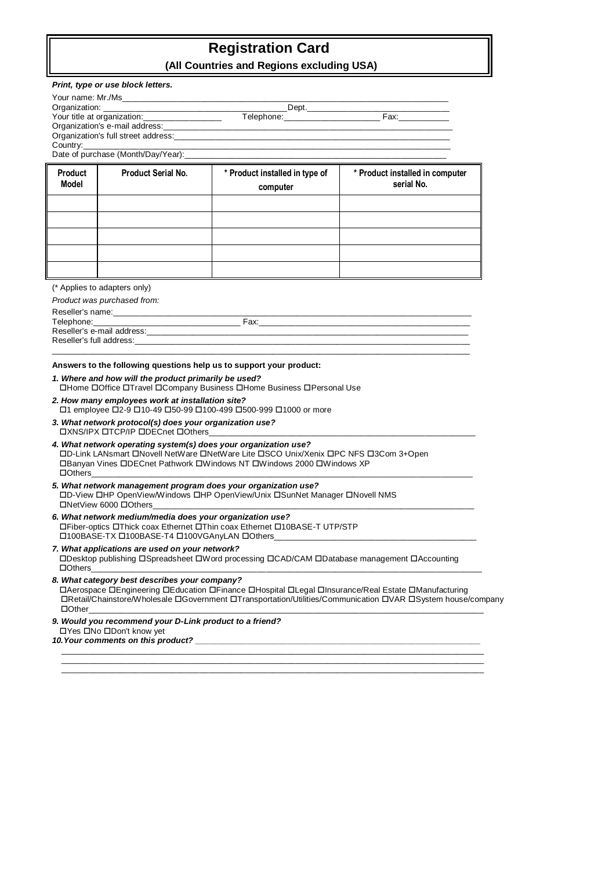## **Registration Card**

|                         | Print, type or use block letters.                                                                        |                                                                                                                                                                                                                                |                                               |
|-------------------------|----------------------------------------------------------------------------------------------------------|--------------------------------------------------------------------------------------------------------------------------------------------------------------------------------------------------------------------------------|-----------------------------------------------|
|                         |                                                                                                          |                                                                                                                                                                                                                                |                                               |
|                         |                                                                                                          |                                                                                                                                                                                                                                |                                               |
|                         |                                                                                                          |                                                                                                                                                                                                                                |                                               |
|                         |                                                                                                          |                                                                                                                                                                                                                                |                                               |
| Country:                | Date of purchase (Month/Day/Year):                                                                       |                                                                                                                                                                                                                                |                                               |
|                         |                                                                                                          |                                                                                                                                                                                                                                |                                               |
| <b>Product</b><br>Model | Product Serial No.                                                                                       | * Product installed in type of                                                                                                                                                                                                 | * Product installed in computer<br>serial No. |
|                         |                                                                                                          | computer                                                                                                                                                                                                                       |                                               |
|                         |                                                                                                          |                                                                                                                                                                                                                                |                                               |
|                         |                                                                                                          |                                                                                                                                                                                                                                |                                               |
|                         |                                                                                                          |                                                                                                                                                                                                                                |                                               |
|                         |                                                                                                          |                                                                                                                                                                                                                                |                                               |
|                         |                                                                                                          |                                                                                                                                                                                                                                |                                               |
|                         |                                                                                                          |                                                                                                                                                                                                                                |                                               |
|                         | (* Applies to adapters only)                                                                             |                                                                                                                                                                                                                                |                                               |
|                         | Product was purchased from:                                                                              |                                                                                                                                                                                                                                |                                               |
|                         |                                                                                                          |                                                                                                                                                                                                                                |                                               |
|                         |                                                                                                          |                                                                                                                                                                                                                                |                                               |
|                         |                                                                                                          |                                                                                                                                                                                                                                |                                               |
|                         |                                                                                                          |                                                                                                                                                                                                                                |                                               |
|                         | 1. Where and how will the product primarily be used?                                                     | Answers to the following questions help us to support your product:                                                                                                                                                            |                                               |
|                         | 2. How many employees work at installation site?                                                         | □Home □Office □Travel □Company Business □Home Business □Personal Use<br>□1 employee □2-9 □10-49 □50-99 □100-499 □500-999 □1000 or more                                                                                         |                                               |
|                         | 3. What network protocol(s) does your organization use?<br><b>OXNS/IPX OTCP/IP ODECnet OOthers</b>       |                                                                                                                                                                                                                                |                                               |
|                         |                                                                                                          | 4. What network operating system(s) does your organization use?<br>□D-Link LANsmart □Novell NetWare □NetWare Lite □SCO Unix/Xenix □PC NFS □3Com 3+Open<br>□Banyan Vines □DECnet Pathwork □Windows NT □Windows 2000 □Windows XP |                                               |
|                         | <b>DOthers</b> ________________<br>□NetView 6000 □Others                                                 | 5. What network management program does your organization use?<br>□D-View □HP OpenView/Windows □HP OpenView/Unix □SunNet Manager □Novell NMS                                                                                   |                                               |
|                         | 6. What network medium/media does your organization use?<br>□100BASE-TX □100BASE-T4 □100VGAnyLAN □Others | □Fiber-optics □Thick coax Ethernet □Thin coax Ethernet □10BASE-T UTP/STP                                                                                                                                                       |                                               |
| $\Box$ Others           | 7. What applications are used on your network?                                                           | □Desktop publishing □Spreadsheet □Word processing □CAD/CAM □Database management □Accounting                                                                                                                                    |                                               |
| $\Box$ Other            | 8. What category best describes your company?                                                            | □Aerospace □Engineering □Education □Finance □Hospital □Legal □Insurance/Real Estate □Manufacturing<br>□Retail/Chainstore/Wholesale □Government □Transportation/Utilities/Communication □VAR □System house/company              |                                               |